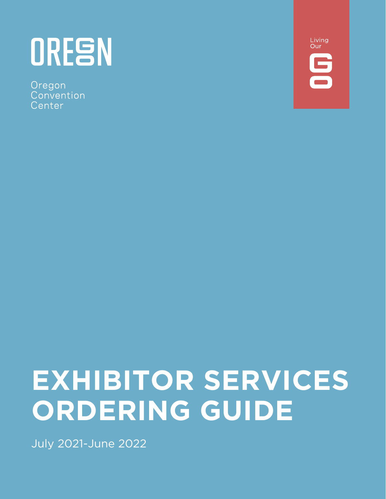# ORESN

Oregon Convention Center



## **EXHIBITOR SERVICES ORDERING GUIDE**

July 2021-June 2022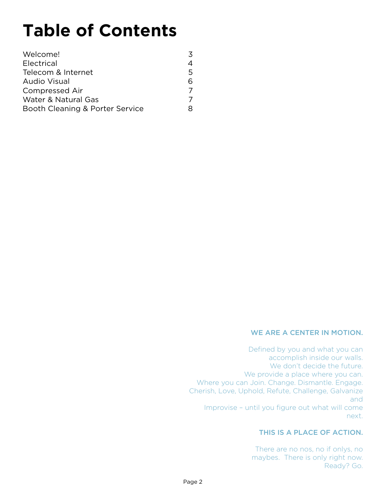### **Table of Contents**

| Welcome!                        | 3 |
|---------------------------------|---|
| Electrical                      | 4 |
| Telecom & Internet              | 5 |
| Audio Visual                    | 6 |
| <b>Compressed Air</b>           | 7 |
| Water & Natural Gas             |   |
| Booth Cleaning & Porter Service | R |
|                                 |   |

#### WE ARE A CENTER IN MOTION.

Defined by you and what you can accomplish inside our walls. We don't decide the future. We provide a place where you can. Where you can Join. Change. Dismantle. Engage. Cherish, Love, Uphold, Refute, Challenge, Galvanize and Improvise – until you figure out what will come next.

#### THIS IS A PLACE OF ACTION.

There are no nos, no if onlys, no maybes. There is only right now. Ready? Go.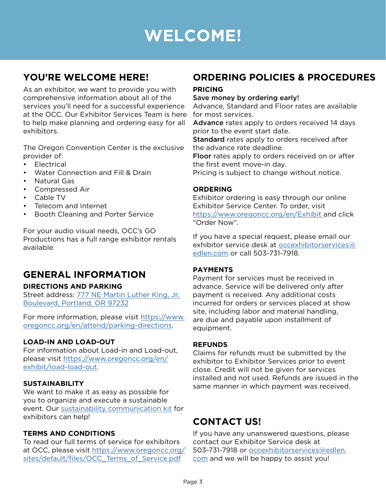### **WELCOME!**

#### <span id="page-2-0"></span>**YOU'RE WELCOME HERE!**

As an exhibitor, we want to provide you with comprehensive information about all of the services you'll need for a successful experience at the OCC. Our Exhibitor Services Team is here to help make planning and ordering easy for all exhibitors.

The Oregon Convention Center is the exclusive provider of:

- **Electrical**
- Water Connection and Fill & Drain
- Natural Gas
- Compressed Air
- Cable TV
- Telecom and Internet
- Booth Cleaning and Porter Service

For your audio visual needs, OCC's GO Productions has a full range exhibitor rentals available.

#### **GENERAL INFORMATION**

#### **DIRECTIONS AND PARKING**

Street address: [777 NE Martin Luther King, Jr.](https://goo.gl/maps/w5wT7pxFL73UUFCRA)  [Boulevard, Portland, OR 97232](https://goo.gl/maps/w5wT7pxFL73UUFCRA)

For more information, please visit [https://www.](https://www.oregoncc.org/en/attend/parking-directions ) [oregoncc.org/en/attend/parking-directions.](https://www.oregoncc.org/en/attend/parking-directions )

#### **LOAD-IN AND LOAD-OUT**

For information about Load-in and Load-out, please visit [https://www.oregoncc.org/en/](https://www.oregoncc.org/en/exhibit/load-load-out) [exhibit/load-load-out.](https://www.oregoncc.org/en/exhibit/load-load-out)

#### **SUSTAINABILITY**

We want to make it as easy as possible for you to organize and execute a sustainable event. Our [sustainability communication kit](https://www.oregoncc.org/sites/default/files/FY18-19_OCC_Sustainability_Communication_Kit_for_%20Exhibitors.pdf) for exhibitors can help!

#### **TERMS AND CONDITIONS**

To read our full terms of service for exhibitors at OCC, please visit [https://www.oregoncc.org/](https://www.oregoncc.org/sites/default/files/OCC_Terms_of_Service.pdf) [sites/default/files/OCC\\_Terms\\_of\\_Service.pdf](https://www.oregoncc.org/sites/default/files/OCC_Terms_of_Service.pdf)

#### **ORDERING POLICIES & PROCEDURES**

#### **PRICING**

#### Save money by ordering early!

Advance, Standard and Floor rates are available for most services.

Advance rates apply to orders received 14 days prior to the event start date.

Standard rates apply to orders received after the advance rate deadline.

Floor rates apply to orders received on or after the first event move-in day.

Pricing is subject to change without notice.

#### **ORDERING**

Exhibitor ordering is easy through our online Exhibitor Service Center. To order, visit [https://www.oregoncc.org/en/Exhibit](https://www.oregoncc.org/en/Exhibit ) and click "Order Now".

If you have a special request, please email our exhibitor service desk at [occexhibitorservices@](mailto:occexhibitorservices%40edlen.com?subject=) [edlen.com](mailto:occexhibitorservices%40edlen.com?subject=) or call 503-731-7918.

#### **PAYMENTS**

Payment for services must be received in advance. Service will be delivered only after payment is received. Any additional costs incurred for orders or services placed at show site, including labor and material handling, are due and payable upon installment of equipment.

#### **REFUNDS**

Claims for refunds must be submitted by the exhibitor to Exhibitor Services prior to event close. Credit will not be given for services installed and not used. Refunds are issued in the same manner in which payment was received.

#### **CONTACT US!**

If you have any unanswered questions, please contact our Exhibitor Service desk at 503-731-7918 or [occexhibitorservices@edlen.](mailto:occexhibitorservices%40edlen.com?subject=) [com](mailto:occexhibitorservices%40edlen.com?subject=) and we will be happy to assist you!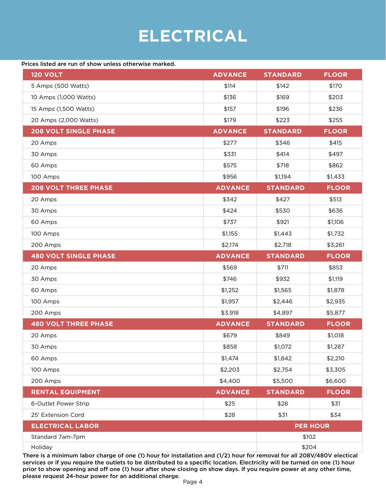### **ELECTRICAL**

#### <span id="page-3-0"></span>Prices listed are run of show unless otherwise marked.

| <b>120 VOLT</b>              | <b>ADVANCE</b> | <b>STANDARD</b> | <b>FLOOR</b>    |
|------------------------------|----------------|-----------------|-----------------|
| 5 Amps (500 Watts)           | \$114          | \$142           | \$170           |
| 10 Amps (1,000 Watts)        | \$136          | \$169           | \$203           |
| 15 Amps (1,500 Watts)        | \$157          | \$196           | \$236           |
| 20 Amps (2,000 Watts)        | \$179          | \$223           | \$255           |
| <b>208 VOLT SINGLE PHASE</b> | <b>ADVANCE</b> | <b>STANDARD</b> | <b>FLOOR</b>    |
| 20 Amps                      | \$277          | \$346           | \$415           |
| 30 Amps                      | \$331          | \$414           | \$497           |
| 60 Amps                      | \$575          | \$718           | \$862           |
| 100 Amps                     | \$956          | \$1,194         | \$1,433         |
| <b>208 VOLT THREE PHASE</b>  | <b>ADVANCE</b> | <b>STANDARD</b> | <b>FLOOR</b>    |
| 20 Amps                      | \$342          | \$427           | \$513           |
| 30 Amps                      | \$424          | \$530           | \$636           |
| 60 Amps                      | \$737          | \$921           | \$1,106         |
| 100 Amps                     | \$1,155        | \$1,443         | \$1,732         |
| 200 Amps                     | \$2,174        | \$2,718         | \$3,261         |
| <b>480 VOLT SINGLE PHASE</b> | <b>ADVANCE</b> | <b>STANDARD</b> | <b>FLOOR</b>    |
| 20 Amps                      | \$569          | \$711           | \$853           |
| 30 Amps                      | \$746          | \$932           | \$1,119         |
| 60 Amps                      | \$1,252        | \$1,565         | \$1,878         |
| 100 Amps                     | \$1,957        | \$2,446         | \$2,935         |
| 200 Amps                     | \$3,918        | \$4,897         | \$5,877         |
| <b>480 VOLT THREE PHASE</b>  | <b>ADVANCE</b> | <b>STANDARD</b> | <b>FLOOR</b>    |
| 20 Amps                      | \$679          | \$849           | \$1,018         |
| 30 Amps                      | \$858          | \$1,072         | \$1,287         |
| 60 Amps                      | \$1,474        | \$1,842         | \$2,210         |
| 100 Amps                     | \$2,203        | \$2,754         | \$3,305         |
| 200 Amps                     | \$4,400        | \$5,500         | \$6,600         |
| <b>RENTAL EQUIPMENT</b>      | <b>ADVANCE</b> | <b>STANDARD</b> | <b>FLOOR</b>    |
| 6-Outlet Power Strip         | \$25           | \$28            | \$31            |
| 25' Extension Cord           | \$28           | \$31            | \$34            |
| <b>ELECTRICAL LABOR</b>      |                |                 | <b>PER HOUR</b> |
| Standard 7am-7pm             |                | \$102           |                 |
| Holiday                      |                | \$204           |                 |

There is a minimum labor charge of one (1) hour for installation and (1/2) hour for removal for all 208V/480V electical services or if you require the outlets to be distributed to a specific location. Electricity will be turned on one (1) hour prior to show opening and off one (1) hour after show closing on show days. If you require power at any other time, please request 24-hour power for an additional charge.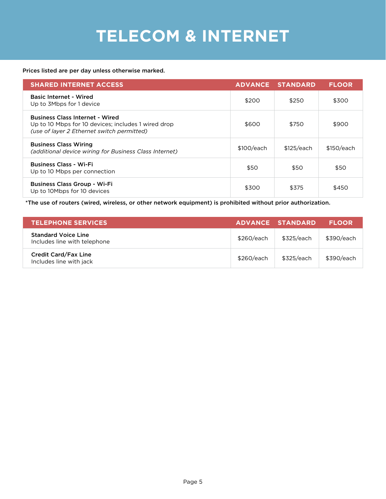### **TELECOM & INTERNET**

#### <span id="page-4-0"></span>Prices listed are per day unless otherwise marked.

| <b>SHARED INTERNET ACCESS</b>                                                                                                               | <b>ADVANCE</b> | <b>STANDARD</b> | <b>FLOOR</b> |
|---------------------------------------------------------------------------------------------------------------------------------------------|----------------|-----------------|--------------|
| <b>Basic Internet - Wired</b><br>Up to 3Mbps for 1 device                                                                                   | \$200          | \$250           | \$300        |
| <b>Business Class Internet - Wired</b><br>Up to 10 Mbps for 10 devices; includes 1 wired drop<br>(use of layer 2 Ethernet switch permitted) | \$600          | \$750           | \$900        |
| <b>Business Class Wiring</b><br>(additional device wiring for Business Class Internet)                                                      | \$100/each     | \$125/each      | \$150/each   |
| <b>Business Class - Wi-Fi</b><br>Up to 10 Mbps per connection                                                                               | \$50           | \$50            | \$50         |
| <b>Business Class Group - Wi-Fi</b><br>Up to 10Mbps for 10 devices                                                                          | \$300          | \$375           | \$450        |

\*The use of routers (wired, wireless, or other network equipment) is prohibited without prior authorization.

| <b>TELEPHONE SERVICES</b>                                  |            | ADVANCE STANDARD | <b>FLOOR</b> |
|------------------------------------------------------------|------------|------------------|--------------|
| <b>Standard Voice Line</b><br>Includes line with telephone | \$260/each | \$325/each       | \$390/each   |
| <b>Credit Card/Fax Line</b><br>Includes line with jack     | \$260/each | \$325/each       | \$390/each   |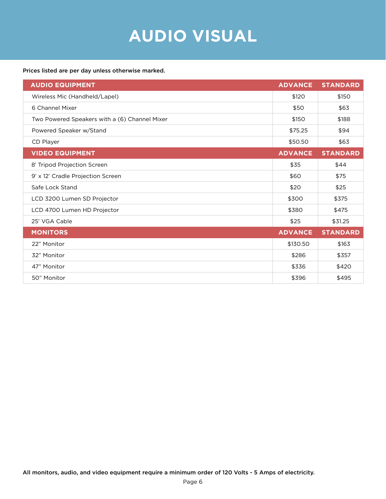### **AUDIO VISUAL**

#### <span id="page-5-0"></span>Prices listed are per day unless otherwise marked.

| <b>AUDIO EQUIPMENT</b>                        | <b>ADVANCE</b> | <b>STANDARD</b> |
|-----------------------------------------------|----------------|-----------------|
| Wireless Mic (Handheld/Lapel)                 | \$120          | \$150           |
| 6 Channel Mixer                               | \$50           | \$63            |
| Two Powered Speakers with a (6) Channel Mixer | \$150          | \$188           |
| Powered Speaker w/Stand                       | \$75.25        | \$94            |
| CD Player                                     | \$50.50        | \$63            |
| <b>VIDEO EQUIPMENT</b>                        | <b>ADVANCE</b> | <b>STANDARD</b> |
| 8' Tripod Projection Screen                   | \$35           | \$44            |
| 9' x 12' Cradle Projection Screen             | \$60           | \$75            |
| Safe Lock Stand                               | \$20           | \$25            |
| LCD 3200 Lumen SD Projector                   | \$300          | \$375           |
| LCD 4700 Lumen HD Projector                   | \$380          | \$475           |
| 25' VGA Cable                                 | \$25           | \$31.25         |
| <b>MONITORS</b>                               | <b>ADVANCE</b> | <b>STANDARD</b> |
| 22" Monitor                                   | \$130.50       | \$163           |
| 32" Monitor                                   | \$286          | \$357           |
| 47" Monitor                                   | \$336          | \$420           |
| 50" Monitor                                   | \$396          | \$495           |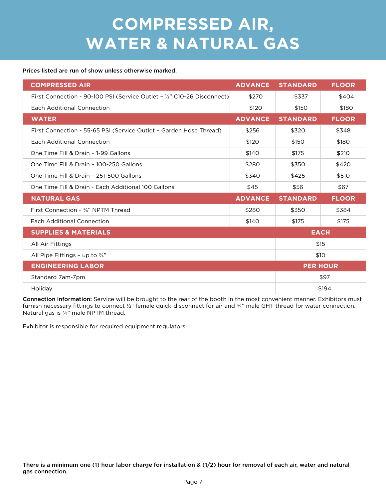### **COMPRESSED AIR, WATER & NATURAL GAS**

#### <span id="page-6-0"></span>Prices listed are run of show unless otherwise marked.

| <b>COMPRESSED AIR</b>                                                   | <b>ADVANCE</b> | <b>STANDARD</b> | <b>FLOOR</b> |
|-------------------------------------------------------------------------|----------------|-----------------|--------------|
| First Connection - 90-100 PSI (Service Outlet - 1/2" C10-26 Disconnect) | \$270          | \$337           | \$404        |
| Each Additional Connection                                              | \$120          | \$150           | \$180        |
| <b>WATER</b>                                                            | <b>ADVANCE</b> | <b>STANDARD</b> | <b>FLOOR</b> |
| First Connection - 55-65 PSI (Service Outlet - Garden Hose Thread)      | \$256          | \$320           | \$348        |
| Each Additional Connection                                              | \$120          | \$150           | \$180        |
| One Time Fill & Drain - 1-99 Gallons                                    | \$140          | \$175           | \$210        |
| One Time Fill & Drain - 100-250 Gallons                                 | \$280          | \$350           | \$420        |
| One Time Fill & Drain - 251-500 Gallons                                 | \$340          | \$425           | \$510        |
| One Time Fill & Drain - Each Additional 100 Gallons                     | \$45           | \$56            | \$67         |
| <b>NATURAL GAS</b>                                                      | <b>ADVANCE</b> | <b>STANDARD</b> | <b>FLOOR</b> |
| First Connection - 3/4" NPTM Thread                                     | \$280          | \$350           | \$384        |
| Each Additional Connection                                              | \$140          | \$175           | \$175        |
| <b>SUPPLIES &amp; MATERIALS</b>                                         |                | <b>EACH</b>     |              |
| All Air Fittings                                                        |                | \$15            |              |
| All Pipe Fittings - up to $\frac{3}{4}$ "                               |                | \$10            |              |
| <b>ENGINEERING LABOR</b>                                                |                | <b>PER HOUR</b> |              |
| Standard 7am-7pm                                                        |                |                 | \$97         |
| Holiday                                                                 |                |                 | \$194        |

Connection information: Service will be brought to the rear of the booth in the most convenient manner. Exhibitors must furnish necessary fittings to connect 1/2" female quick-disconnect for air and 3/4" male GHT thread for water connection. Natural gas is ¾" male NPTM thread.

Exhibitor is responsible for required equipment regulators.